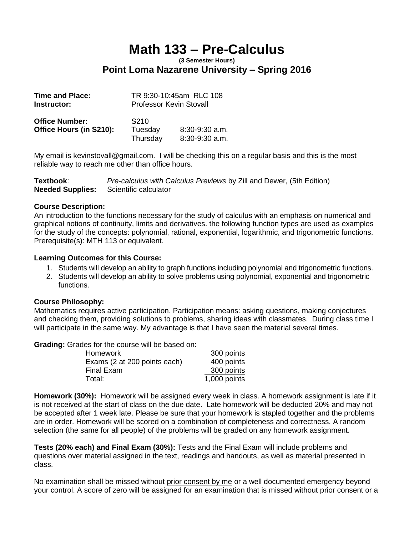# **Math 133 – Pre-Calculus**

### **(3 Semester Hours) Point Loma Nazarene University – Spring 2016**

| <b>Time and Place:</b>  | TR 9:30-10:45am RLC 108        |                  |  |
|-------------------------|--------------------------------|------------------|--|
| Instructor:             | <b>Professor Kevin Stovall</b> |                  |  |
| <b>Office Number:</b>   | S <sub>210</sub>               |                  |  |
| Office Hours (in S210): | Tuesday                        | $8:30-9:30$ a.m. |  |
|                         | Thursday                       | $8:30-9:30$ a.m. |  |

My email is kevinstovall@gmail.com. I will be checking this on a regular basis and this is the most reliable way to reach me other than office hours.

| Textbook: | Pre-calculus with Calculus Previews by Zill and Dewer, (5th Edition) |
|-----------|----------------------------------------------------------------------|
|           | <b>Needed Supplies:</b> Scientific calculator                        |

#### **Course Description:**

An introduction to the functions necessary for the study of calculus with an emphasis on numerical and graphical notions of continuity, limits and derivatives. the following function types are used as examples for the study of the concepts: polynomial, rational, exponential, logarithmic, and trigonometric functions. Prerequisite(s): MTH 113 or equivalent.

#### **Learning Outcomes for this Course:**

- 1. Students will develop an ability to graph functions including polynomial and trigonometric functions.
- 2. Students will develop an ability to solve problems using polynomial, exponential and trigonometric functions.

#### **Course Philosophy:**

Mathematics requires active participation. Participation means: asking questions, making conjectures and checking them, providing solutions to problems, sharing ideas with classmates. During class time I will participate in the same way. My advantage is that I have seen the material several times.

**Grading:** Grades for the course will be based on:

| <b>Homework</b>              | 300 points     |
|------------------------------|----------------|
| Exams (2 at 200 points each) | 400 points     |
| <b>Final Exam</b>            | 300 points     |
| Total:                       | $1,000$ points |

**Homework (30%):** Homework will be assigned every week in class. A homework assignment is late if it is not received at the start of class on the due date. Late homework will be deducted 20% and may not be accepted after 1 week late. Please be sure that your homework is stapled together and the problems are in order. Homework will be scored on a combination of completeness and correctness. A random selection (the same for all people) of the problems will be graded on any homework assignment.

**Tests (20% each) and Final Exam (30%):** Tests and the Final Exam will include problems and questions over material assigned in the text, readings and handouts, as well as material presented in class.

No examination shall be missed without prior consent by me or a well documented emergency beyond your control. A score of zero will be assigned for an examination that is missed without prior consent or a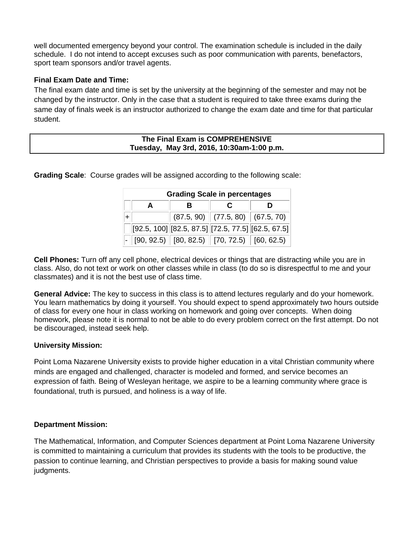well documented emergency beyond your control. The examination schedule is included in the daily schedule. I do not intend to accept excuses such as poor communication with parents, benefactors, sport team sponsors and/or travel agents.

#### **Final Exam Date and Time:**

The final exam date and time is set by the university at the beginning of the semester and may not be changed by the instructor. Only in the case that a student is required to take three exams during the same day of finals week is an instructor authorized to change the exam date and time for that particular student.

#### **The Final Exam is COMPREHENSIVE Tuesday, May 3rd, 2016, 10:30am-1:00 p.m.**

**Grading Scale**: Course grades will be assigned according to the following scale:

| <b>Grading Scale in percentages</b> |  |  |                                                                                                                      |
|-------------------------------------|--|--|----------------------------------------------------------------------------------------------------------------------|
| A                                   |  |  |                                                                                                                      |
|                                     |  |  | $(87.5, 90)$ $(77.5, 80)$ $(67.5, 70)$                                                                               |
|                                     |  |  | $[92.5, 100]$ $[82.5, 87.5]$ $[72.5, 77.5]$ $[62.5, 67.5]$                                                           |
|                                     |  |  | $\vert\text{-}\vert$ [90, 92.5) $\vert\vert$ [80, 82.5) $\vert\vert$ [70, 72.5) $\vert\vert$ [60, 62.5) $\vert\vert$ |

**Cell Phones:** Turn off any cell phone, electrical devices or things that are distracting while you are in class. Also, do not text or work on other classes while in class (to do so is disrespectful to me and your classmates) and it is not the best use of class time.

**General Advice:** The key to success in this class is to attend lectures regularly and do your homework. You learn mathematics by doing it yourself. You should expect to spend approximately two hours outside of class for every one hour in class working on homework and going over concepts. When doing homework, please note it is normal to not be able to do every problem correct on the first attempt. Do not be discouraged, instead seek help.

#### **University Mission:**

Point Loma Nazarene University exists to provide higher education in a vital Christian community where minds are engaged and challenged, character is modeled and formed, and service becomes an expression of faith. Being of Wesleyan heritage, we aspire to be a learning community where grace is foundational, truth is pursued, and holiness is a way of life.

#### **Department Mission:**

The Mathematical, Information, and Computer Sciences department at Point Loma Nazarene University is committed to maintaining a curriculum that provides its students with the tools to be productive, the passion to continue learning, and Christian perspectives to provide a basis for making sound value judgments.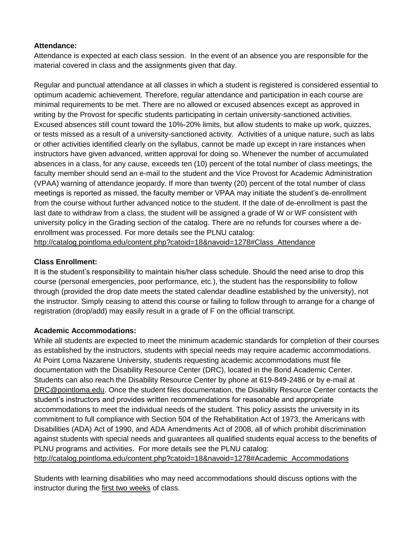#### **Attendance:**

Attendance is expected at each class session. In the event of an absence you are responsible for the material covered in class and the assignments given that day.

Regular and punctual attendance at all classes in which a student is registered is considered essential to optimum academic achievement. Therefore, regular attendance and participation in each course are minimal requirements to be met. There are no allowed or excused absences except as approved in writing by the Provost for specific students participating in certain university-sanctioned activities. Excused absences still count toward the 10%-20% limits, but allow students to make up work, quizzes, or tests missed as a result of a university-sanctioned activity. Activities of a unique nature, such as labs or other activities identified clearly on the syllabus, cannot be made up except in rare instances when instructors have given advanced, written approval for doing so. Whenever the number of accumulated absences in a class, for any cause, exceeds ten (10) percent of the total number of class meetings, the faculty member should send an e-mail to the student and the Vice Provost for Academic Administration (VPAA) warning of attendance jeopardy. If more than twenty (20) percent of the total number of class meetings is reported as missed, the faculty member or VPAA may initiate the student's de-enrollment from the course without further advanced notice to the student. If the date of de-enrollment is past the last date to withdraw from a class, the student will be assigned a grade of W or WF consistent with university policy in the Grading section of the catalog. There are no refunds for courses where a deenrollment was processed. For more details see the PLNU catalog: [http://catalog.pointloma.edu/content.php?catoid=18&navoid=1278#Class\\_Attendance](http://catalog.pointloma.edu/content.php?catoid=18&navoid=1278#Class_Attendance)

#### **Class Enrollment:**

It is the student's responsibility to maintain his/her class schedule. Should the need arise to drop this course (personal emergencies, poor performance, etc.), the student has the responsibility to follow through (provided the drop date meets the stated calendar deadline established by the university), not the instructor. Simply ceasing to attend this course or failing to follow through to arrange for a change of registration (drop/add) may easily result in a grade of F on the official transcript.

#### **Academic Accommodations:**

While all students are expected to meet the minimum academic standards for completion of their courses as established by the instructors, students with special needs may require academic accommodations. At Point Loma Nazarene University, students requesting academic accommodations must file documentation with the Disability Resource Center (DRC), located in the Bond Academic Center. Students can also reach the Disability Resource Center by phone at 619-849-2486 or by e-mail at [DRC@pointloma.edu.](mailto:DRC@pointloma.edu) Once the student files documentation, the Disability Resource Center contacts the student's instructors and provides written recommendations for reasonable and appropriate accommodations to meet the individual needs of the student. This policy assists the university in its commitment to full compliance with Section 504 of the Rehabilitation Act of 1973, the Americans with Disabilities (ADA) Act of 1990, and ADA Amendments Act of 2008, all of which prohibit discrimination against students with special needs and guarantees all qualified students equal access to the benefits of PLNU programs and activities. For more details see the PLNU catalog: [http://catalog.pointloma.edu/content.php?catoid=18&navoid=1278#Academic\\_Accommodations](http://catalog.pointloma.edu/content.php?catoid=18&navoid=1278#Academic_Accommodations) 

Students with learning disabilities who may need accommodations should discuss options with the instructor during the first two weeks of class.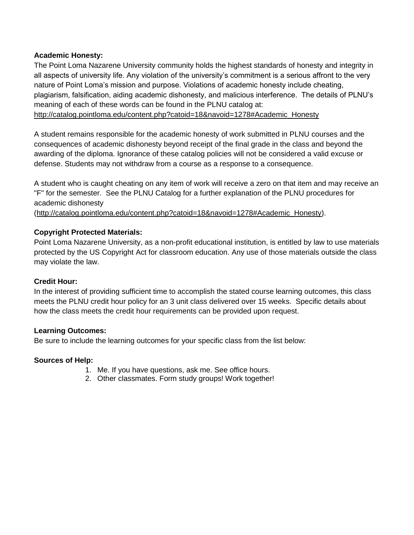#### **Academic Honesty:**

The Point Loma Nazarene University community holds the highest standards of honesty and integrity in all aspects of university life. Any violation of the university's commitment is a serious affront to the very nature of Point Loma's mission and purpose. Violations of academic honesty include cheating, plagiarism, falsification, aiding academic dishonesty, and malicious interference. The details of PLNU's meaning of each of these words can be found in the PLNU catalog at: [http://catalog.pointloma.edu/content.php?catoid=18&navoid=1278#Academic\\_Honesty](http://catalog.pointloma.edu/content.php?catoid=18&navoid=1278#Academic_Honesty)

A student remains responsible for the academic honesty of work submitted in PLNU courses and the consequences of academic dishonesty beyond receipt of the final grade in the class and beyond the awarding of the diploma. Ignorance of these catalog policies will not be considered a valid excuse or defense. Students may not withdraw from a course as a response to a consequence.

A student who is caught cheating on any item of work will receive a zero on that item and may receive an "F" for the semester. See the PLNU Catalog for a further explanation of the PLNU procedures for academic dishonesty

[\(http://catalog.pointloma.edu/content.php?catoid=18&navoid=1278#Academic\\_Honesty\)](http://catalog.pointloma.edu/content.php?catoid=18&navoid=1278#Academic_Honesty).

#### **Copyright Protected Materials:**

Point Loma Nazarene University, as a non-profit educational institution, is entitled by law to use materials protected by the US Copyright Act for classroom education. Any use of those materials outside the class may violate the law.

#### **Credit Hour:**

In the interest of providing sufficient time to accomplish the stated course learning outcomes, this class meets the PLNU credit hour policy for an 3 unit class delivered over 15 weeks. Specific details about how the class meets the credit hour requirements can be provided upon request.

#### **Learning Outcomes:**

Be sure to include the learning outcomes for your specific class from the list below:

#### **Sources of Help:**

- 1. Me. If you have questions, ask me. See office hours.
- 2. Other classmates. Form study groups! Work together!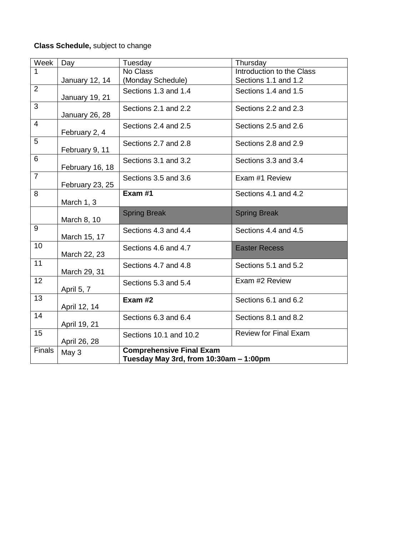## **Class Schedule,** subject to change

| Week            | Day             | Tuesday                                | Thursday                     |  |
|-----------------|-----------------|----------------------------------------|------------------------------|--|
| 1               |                 | No Class                               | Introduction to the Class    |  |
|                 | January 12, 14  | (Monday Schedule)                      | Sections 1.1 and 1.2         |  |
| $\overline{2}$  |                 | Sections 1.3 and 1.4                   | Sections 1.4 and 1.5         |  |
|                 | January 19, 21  |                                        |                              |  |
| $\overline{3}$  |                 | Sections 2.1 and 2.2                   | Sections 2.2 and 2.3         |  |
|                 | January 26, 28  |                                        |                              |  |
| $\overline{4}$  |                 | Sections 2.4 and 2.5                   | Sections 2.5 and 2.6         |  |
|                 | February 2, 4   |                                        |                              |  |
| 5               |                 | Sections 2.7 and 2.8                   | Sections 2.8 and 2.9         |  |
|                 | February 9, 11  |                                        |                              |  |
| 6               |                 | Sections 3.1 and 3.2                   | Sections 3.3 and 3.4         |  |
|                 | February 16, 18 |                                        |                              |  |
| $\overline{7}$  |                 | Sections 3.5 and 3.6                   | Exam #1 Review               |  |
|                 | February 23, 25 |                                        |                              |  |
| 8               |                 | Exam #1                                | Sections 4.1 and 4.2         |  |
|                 | March 1, 3      |                                        |                              |  |
|                 |                 | <b>Spring Break</b>                    | <b>Spring Break</b>          |  |
| 9               | March 8, 10     |                                        |                              |  |
|                 | March 15, 17    | Sections 4.3 and 4.4                   | Sections 4.4 and 4.5         |  |
| 10              |                 |                                        |                              |  |
|                 | March 22, 23    | Sections 4.6 and 4.7                   | <b>Easter Recess</b>         |  |
| 11              |                 |                                        |                              |  |
|                 | March 29, 31    | Sections 4.7 and 4.8                   | Sections 5.1 and 5.2         |  |
| 12 <sub>2</sub> |                 |                                        | Exam #2 Review               |  |
|                 | April 5, 7      | Sections 5.3 and 5.4                   |                              |  |
| 13              |                 |                                        |                              |  |
|                 | April 12, 14    | Exam #2                                | Sections 6.1 and 6.2         |  |
| 14              |                 |                                        |                              |  |
|                 | April 19, 21    | Sections 6.3 and 6.4                   | Sections 8.1 and 8.2         |  |
| 15              |                 |                                        | <b>Review for Final Exam</b> |  |
|                 | April 26, 28    | Sections 10.1 and 10.2                 |                              |  |
| <b>Finals</b>   |                 | <b>Comprehensive Final Exam</b>        |                              |  |
|                 | May 3           | Tuesday May 3rd, from 10:30am - 1:00pm |                              |  |
|                 |                 |                                        |                              |  |